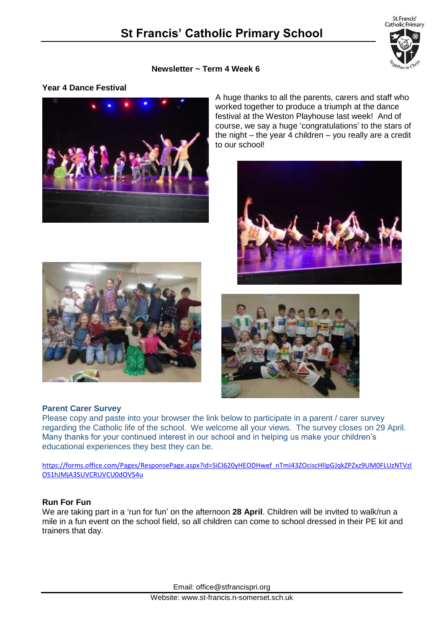

### **Newsletter ~ Term 4 Week 6**

## **Year 4 Dance Festival**



A huge thanks to all the parents, carers and staff who worked together to produce a triumph at the dance festival at the Weston Playhouse last week! And of course, we say a huge 'congratulations' to the stars of the night – the year  $\frac{1}{4}$  children – you really are a credit to our school!





### **Parent Carer Survey**

Please copy and paste into your browser the link below to participate in a parent / carer survey regarding the Catholic life of the school. We welcome all your views. The survey closes on 29 April. Many thanks for your continued interest in our school and in helping us make your children's educational experiences they best they can be.

[https://forms.office.com/Pages/ResponsePage.aspx?id=SiCI620yHEODHwef\\_nTmI43ZOciscHlIpGJqkZPZxz9UM0FLUzNTVzl](https://forms.office.com/Pages/ResponsePage.aspx?id=SiCI620yHEODHwef_nTmI43ZOciscHlIpGJqkZPZxz9UM0FLUzNTVzlOS1hJMjA3SUVCRUVCU0dOVS4u) [OS1hJMjA3SUVCRUVCU0dOVS4u](https://forms.office.com/Pages/ResponsePage.aspx?id=SiCI620yHEODHwef_nTmI43ZOciscHlIpGJqkZPZxz9UM0FLUzNTVzlOS1hJMjA3SUVCRUVCU0dOVS4u)

### **Run For Fun**

We are taking part in a 'run for fun' on the afternoon **28 April**. Children will be invited to walk/run a mile in a fun event on the school field, so all children can come to school dressed in their PE kit and trainers that day.

Email: office@stfrancispri.org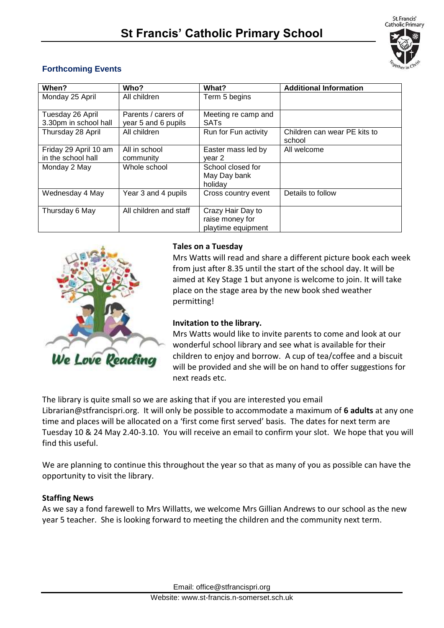

# **Forthcoming Events**

| When?                 | Who?                   | What?                | <b>Additional Information</b>          |
|-----------------------|------------------------|----------------------|----------------------------------------|
| Monday 25 April       | All children           | Term 5 begins        |                                        |
| Tuesday 26 April      | Parents / carers of    | Meeting re camp and  |                                        |
| 3.30pm in school hall | year 5 and 6 pupils    | <b>SATs</b>          |                                        |
| Thursday 28 April     | All children           | Run for Fun activity | Children can wear PE kits to<br>school |
| Friday 29 April 10 am | All in school          | Easter mass led by   | All welcome                            |
| in the school hall    | community              | vear 2               |                                        |
| Monday 2 May          | Whole school           | School closed for    |                                        |
|                       |                        | May Day bank         |                                        |
|                       |                        | holidav              |                                        |
| Wednesday 4 May       | Year 3 and 4 pupils    | Cross country event  | Details to follow                      |
| Thursday 6 May        | All children and staff | Crazy Hair Day to    |                                        |
|                       |                        | raise money for      |                                        |
|                       |                        | playtime equipment   |                                        |



# **Tales on a Tuesday**

Mrs Watts will read and share a different picture book each week from just after 8.35 until the start of the school day. It will be aimed at Key Stage 1 but anyone is welcome to join. It will take place on the stage area by the new book shed weather permitting!

# **Invitation to the library.**

Mrs Watts would like to invite parents to come and look at our wonderful school library and see what is available for their children to enjoy and borrow. A cup of tea/coffee and a biscuit will be provided and she will be on hand to offer suggestions for next reads etc.

The library is quite small so we are asking that if you are interested you email Librarian@stfrancispri.org. It will only be possible to accommodate a maximum of **6 adults** at any one time and places will be allocated on a 'first come first served' basis. The dates for next term are Tuesday 10 & 24 May 2.40-3.10. You will receive an email to confirm your slot. We hope that you will find this useful.

We are planning to continue this throughout the year so that as many of you as possible can have the opportunity to visit the library.

# **Staffing News**

As we say a fond farewell to Mrs Willatts, we welcome Mrs Gillian Andrews to our school as the new year 5 teacher. She is looking forward to meeting the children and the community next term.

Email: office@stfrancispri.org